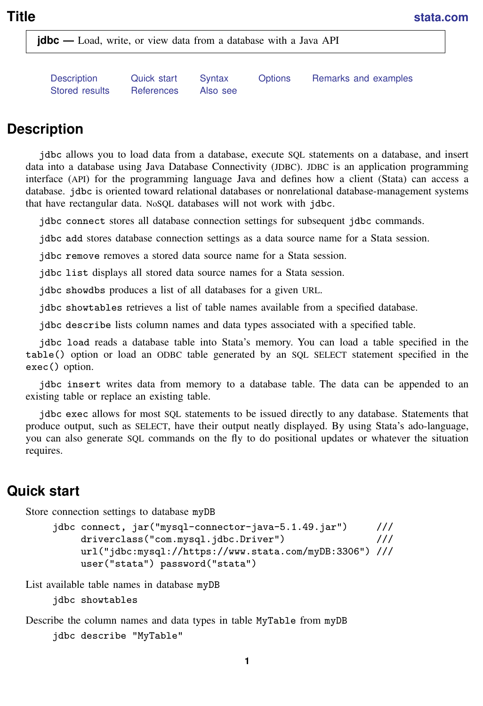<span id="page-0-2"></span>**jdbc** — Load, write, or view data from a database with a Java API

<span id="page-0-0"></span>[Description](#page-0-0) [Quick start](#page-0-1) [Syntax](#page-1-0) [Options](#page-2-0) [Remarks and examples](#page-4-0) [Stored results](#page-11-0) Beferences [Also see](#page-11-2)

# **Description**

jdbc allows you to load data from a database, execute SQL statements on a database, and insert data into a database using Java Database Connectivity (JDBC). JDBC is an application programming interface (API) for the programming language Java and defines how a client (Stata) can access a database. jdbc is oriented toward relational databases or nonrelational database-management systems that have rectangular data. NoSQL databases will not work with jdbc.

jdbc connect stores all database connection settings for subsequent jdbc commands.

jdbc add stores database connection settings as a data source name for a Stata session.

jdbc remove removes a stored data source name for a Stata session.

jdbc list displays all stored data source names for a Stata session.

jdbc showdbs produces a list of all databases for a given URL.

jdbc showtables retrieves a list of table names available from a specified database.

jdbc describe lists column names and data types associated with a specified table.

jdbc load reads a database table into Stata's memory. You can load a table specified in the table() option or load an ODBC table generated by an SQL SELECT statement specified in the exec() option.

jdbc insert writes data from memory to a database table. The data can be appended to an existing table or replace an existing table.

jdbc exec allows for most SQL statements to be issued directly to any database. Statements that produce output, such as SELECT, have their output neatly displayed. By using Stata's ado-language, you can also generate SQL commands on the fly to do positional updates or whatever the situation requires.

# <span id="page-0-1"></span>**Quick start**

Store connection settings to database myDB

```
jdbc connect, jar("mysql-connector-java-5.1.49.jar") ///
    driverclass("com.mysql.jdbc.Driver") ///
    url("jdbc:mysql://https://www.stata.com/myDB:3306") ///
    user("stata") password("stata")
```
List available table names in database myDB

jdbc showtables

Describe the column names and data types in table MyTable from myDB jdbc describe "MyTable"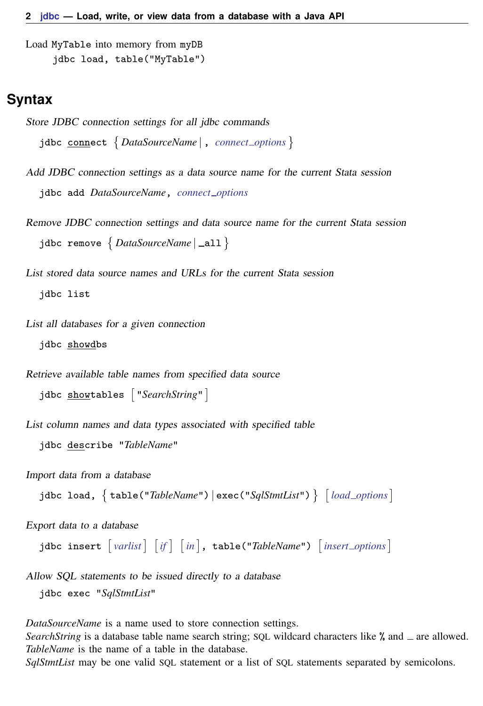```
Load MyTable into memory from myDB
     jdbc load, table("MyTable")
```
# **Syntax**

```
Store JDBC connection settings for all jdbc commands
  jdbc connect 
DataSourceName | , connect options
```
- Add JDBC connection settings as a data source name for the current Stata session jdbc add *DataSourceName*, *[connect](#page-2-1) options*
- Remove JDBC connection settings and data source name for the current Stata session jdbc remove  $\{$  *DataSourceName* | \_all  $\}$
- List stored data source names and URLs for the current Stata session jdbc list
- List all databases for a given connection jdbc showdbs

Retrieve available table names from specified data source

jdbc <u>show</u>tables ["SearchString"]

List column names and data types associated with specified table

```
jdbc describe "TableName"
```
Import data from a database

```
jdbc load, \{ \texttt{table('TableName'')} \mid \texttt{exec('SqlStmtList'')} \} options} \}
```
Export data to a database

```
insert if } \rceil \text{ } \lceil \text{ in } \rceil, table("TableName") options} \rceil
```
Allow SQL statements to be issued directly to a database jdbc exec "*SqlStmtList*"

*DataSourceName* is a name used to store connection settings.

*SearchString* is a database table name search string; SOL wildcard characters like % and  $\equiv$  are allowed. *TableName* is the name of a table in the database.

*SqlStmtList* may be one valid SQL statement or a list of SQL statements separated by semicolons.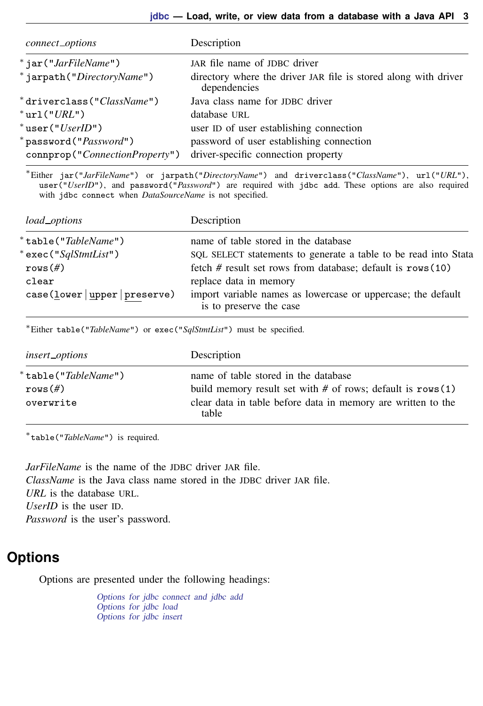<span id="page-2-1"></span>

| connect_options                | Description                                                                     |  |
|--------------------------------|---------------------------------------------------------------------------------|--|
| $*$ jar("JarFileName")         | JAR file name of JDBC driver                                                    |  |
| * jarpath("DirectoryName")     | directory where the driver JAR file is stored along with driver<br>dependencies |  |
| *driverclass("ClassName")      | Java class name for JDBC driver                                                 |  |
| $*$ url $(''URL'')$            | database URL                                                                    |  |
| $*$ user(" $UserID$ ")         | user ID of user establishing connection                                         |  |
| *password(" <i>Password</i> ") | password of user establishing connection                                        |  |
| connprop("ConnectionProperty") | driver-specific connection property                                             |  |

<sup>∗</sup>Either jar("*JarFileName*") or jarpath("*DirectoryName*") and driverclass("*ClassName*"), url("*URL*"), user("*UserID*"), and password("*Password*") are required with jdbc add. These options are also required with jdbc connect when *DataSourceName* is not specified.

<span id="page-2-2"></span>

| load_options                    | Description                                                                             |  |
|---------------------------------|-----------------------------------------------------------------------------------------|--|
| *table(" <i>TableName</i> ")    | name of table stored in the database                                                    |  |
| * exec(" <i>SqlStmtList</i> ")  | SQL SELECT statements to generate a table to be read into Stata                         |  |
| $rows (\#)$                     | fetch $#$ result set rows from database; default is rows $(10)$                         |  |
| clear                           | replace data in memory                                                                  |  |
| case (lower   upper   preserve) | import variable names as lowercase or uppercase; the default<br>is to preserve the case |  |

<sup>∗</sup>Either table("*TableName*") or exec("*SqlStmtList*") must be specified.

<span id="page-2-3"></span>

| insert_options                                          | Description                                                                                                                                                                      |  |
|---------------------------------------------------------|----------------------------------------------------------------------------------------------------------------------------------------------------------------------------------|--|
| *table(" <i>TableName</i> ")<br>$rows$ (#)<br>overwrite | name of table stored in the database<br>build memory result set with $#$ of rows; default is rows $(1)$<br>clear data in table before data in memory are written to the<br>table |  |

∗ table("*TableName*") is required.

*JarFileName* is the name of the JDBC driver JAR file. *ClassName* is the Java class name stored in the JDBC driver JAR file. *URL* is the database URL. *UserID* is the user ID. *Password* is the user's password.

# <span id="page-2-0"></span>**Options**

Options are presented under the following headings:

[Options for jdbc connect and jdbc add](#page-3-0) [Options for jdbc load](#page-3-1) [Options for jdbc insert](#page-4-1)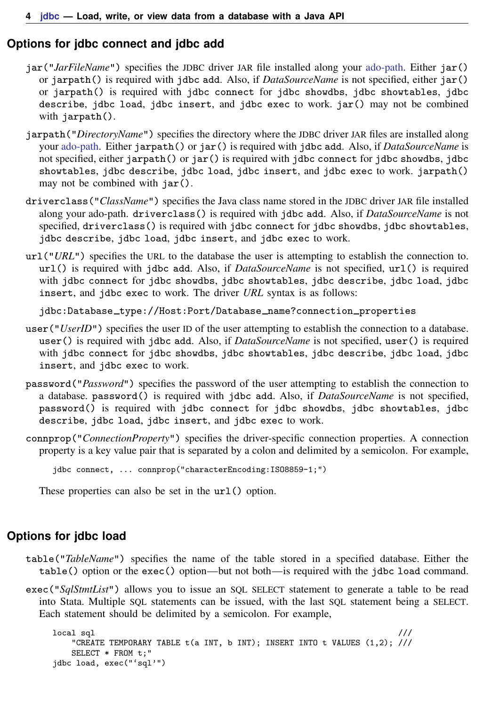## <span id="page-3-0"></span>**Options for jdbc connect and jdbc add**

- jar("*JarFileName*") specifies the JDBC driver JAR file installed along your [ado-path.](https://www.stata.com/manuals/psysdir.pdf#psysdir) Either jar() or jarpath() is required with jdbc add. Also, if *DataSourceName* is not specified, either jar() or jarpath() is required with jdbc connect for jdbc showdbs, jdbc showtables, jdbc describe, jdbc load, jdbc insert, and jdbc exec to work. jar() may not be combined with jarpath().
- jarpath("*DirectoryName*") specifies the directory where the JDBC driver JAR files are installed along your [ado-path](https://www.stata.com/manuals/psysdir.pdf#psysdir). Either jarpath() or jar() is required with jdbc add. Also, if *DataSourceName* is not specified, either jarpath() or jar() is required with jdbc connect for jdbc showdbs, jdbc showtables, jdbc describe, jdbc load, jdbc insert, and jdbc exec to work. jarpath() may not be combined with jar().
- driverclass("*ClassName*") specifies the Java class name stored in the JDBC driver JAR file installed along your ado-path. driverclass() is required with jdbc add. Also, if *DataSourceName* is not specified, driverclass() is required with jdbc connect for jdbc showdbs, jdbc showtables, jdbc describe, jdbc load, jdbc insert, and jdbc exec to work.
- url("*URL*") specifies the URL to the database the user is attempting to establish the connection to. url() is required with jdbc add. Also, if *DataSourceName* is not specified, url() is required with jdbc connect for jdbc showdbs, jdbc showtables, jdbc describe, jdbc load, jdbc insert, and jdbc exec to work. The driver *URL* syntax is as follows:

jdbc:Database\_type://Host:Port/Database\_name?connection\_properties

- user ("*UserID*") specifies the user ID of the user attempting to establish the connection to a database. user() is required with jdbc add. Also, if *DataSourceName* is not specified, user() is required with jdbc connect for jdbc showdbs, jdbc showtables, jdbc describe, jdbc load, jdbc insert, and jdbc exec to work.
- password("*Password*") specifies the password of the user attempting to establish the connection to a database. password() is required with jdbc add. Also, if *DataSourceName* is not specified, password() is required with jdbc connect for jdbc showdbs, jdbc showtables, jdbc describe, jdbc load, jdbc insert, and jdbc exec to work.
- connprop("*ConnectionProperty*") specifies the driver-specific connection properties. A connection property is a key value pair that is separated by a colon and delimited by a semicolon. For example,

```
jdbc connect, ... connprop("characterEncoding:ISO8859-1;")
```
<span id="page-3-1"></span>These properties can also be set in the url() option.

## **Options for jdbc load**

- table("*TableName*") specifies the name of the table stored in a specified database. Either the table() option or the exec() option—but not both—is required with the jdbc load command.
- exec("*SqlStmtList*") allows you to issue an SQL SELECT statement to generate a table to be read into Stata. Multiple SQL statements can be issued, with the last SQL statement being a SELECT. Each statement should be delimited by a semicolon. For example,

```
local sql ///
  "CREATE TEMPORARY TABLE t(a INT, b INT); INSERT INTO t VALUES (1,2); ///
  SELECT * FROM t;"
jdbc load, exec("'sql'")
```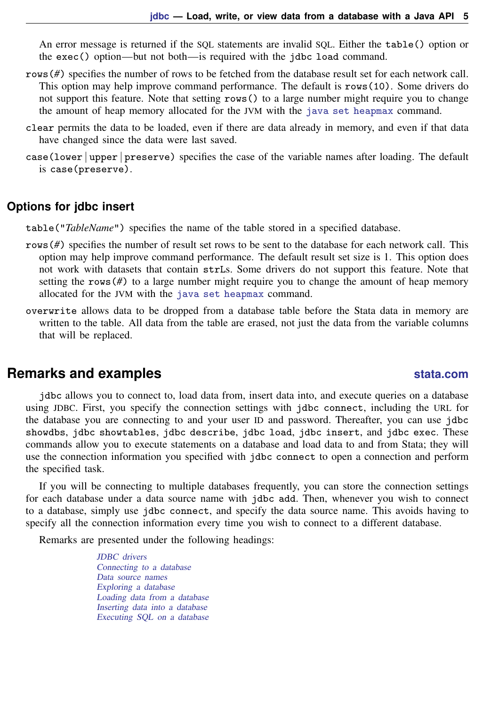An error message is returned if the SQL statements are invalid SQL. Either the table() option or the exec() option—but not both—is required with the jdbc load command.

- rows(*#*) specifies the number of rows to be fetched from the database result set for each network call. This option may help improve command performance. The default is rows(10). Some drivers do not support this feature. Note that setting rows() to a large number might require you to change the amount of heap memory allocated for the JVM with the [java set heapmax](https://www.stata.com/manuals/pjavautilities.pdf#pJavautilities) command.
- clear permits the data to be loaded, even if there are data already in memory, and even if that data have changed since the data were last saved.
- <span id="page-4-1"></span>case(lower | upper | preserve) specifies the case of the variable names after loading. The default is case(preserve).

#### **Options for jdbc insert**

table("*TableName*") specifies the name of the table stored in a specified database.

- rows (#) specifies the number of result set rows to be sent to the database for each network call. This option may help improve command performance. The default result set size is 1. This option does not work with datasets that contain strLs. Some drivers do not support this feature. Note that setting the rows  $(\#)$  to a large number might require you to change the amount of heap memory allocated for the JVM with the [java set heapmax](https://www.stata.com/manuals/pjavautilities.pdf#pJavautilities) command.
- overwrite allows data to be dropped from a database table before the Stata data in memory are written to the table. All data from the table are erased, not just the data from the variable columns that will be replaced.

# <span id="page-4-0"></span>**Remarks and examples [stata.com](http://stata.com)**

jdbc allows you to connect to, load data from, insert data into, and execute queries on a database using JDBC. First, you specify the connection settings with jdbc connect, including the URL for the database you are connecting to and your user ID and password. Thereafter, you can use jdbc showdbs, jdbc showtables, jdbc describe, jdbc load, jdbc insert, and jdbc exec. These commands allow you to execute statements on a database and load data to and from Stata; they will use the connection information you specified with jdbc connect to open a connection and perform the specified task.

If you will be connecting to multiple databases frequently, you can store the connection settings for each database under a data source name with jdbc add. Then, whenever you wish to connect to a database, simply use jdbc connect, and specify the data source name. This avoids having to specify all the connection information every time you wish to connect to a different database.

Remarks are presented under the following headings:

[JDBC drivers](#page-5-0) [Connecting to a database](#page-5-1) [Data source names](#page-6-0) [Exploring a database](#page-6-1) [Loading data from a database](#page-7-0) [Inserting data into a database](#page-10-0) [Executing SQL on a database](#page-10-1)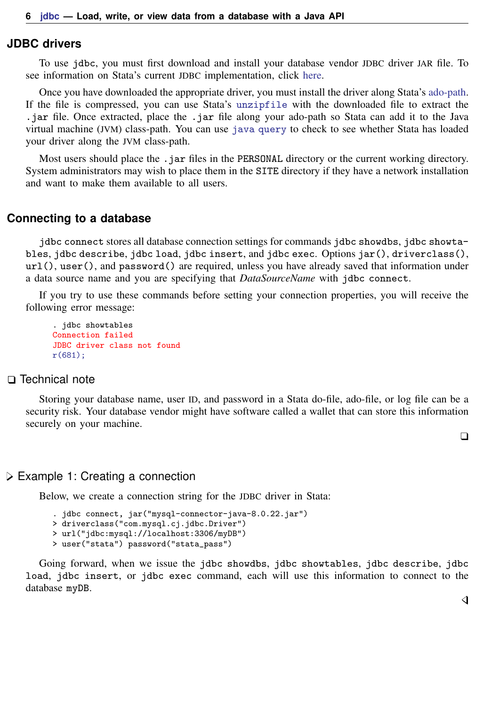#### <span id="page-5-0"></span>**JDBC drivers**

To use jdbc, you must first download and install your database vendor JDBC driver JAR file. To see information on Stata's current JDBC implementation, click [here](https://www.stata.com/support/faqs/data-management/configuring-jdbc/).

Once you have downloaded the appropriate driver, you must install the driver along Stata's [ado-path.](https://www.stata.com/manuals/psysdir.pdf#psysdir) If the file is compressed, you can use Stata's [unzipfile](https://www.stata.com/manuals/dzipfile.pdf#dzipfile) with the downloaded file to extract the .jar file. Once extracted, place the .jar file along your ado-path so Stata can add it to the Java virtual machine (JVM) class-path. You can use [java query](https://www.stata.com/manuals/pjavautilities.pdf#pJavautilities) to check to see whether Stata has loaded your driver along the JVM class-path.

Most users should place the .jar files in the PERSONAL directory or the current working directory. System administrators may wish to place them in the SITE directory if they have a network installation and want to make them available to all users.

#### <span id="page-5-1"></span>**Connecting to a database**

jdbc connect stores all database connection settings for commands jdbc showdbs, jdbc showtables, jdbc describe, jdbc load, jdbc insert, and jdbc exec. Options jar(), driverclass(), url(), user(), and password() are required, unless you have already saved that information under a data source name and you are specifying that *DataSourceName* with jdbc connect.

If you try to use these commands before setting your connection properties, you will receive the following error message:

```
. jdbc showtables
Connection failed
JDBC driver class not found
r(681);
```
#### □ Technical note

Storing your database name, user ID, and password in a Stata do-file, ado-file, or log file can be a security risk. Your database vendor might have software called a wallet that can store this information securely on your machine.

 $\Box$ 

#### Example 1: Creating a connection

Below, we create a connection string for the JDBC driver in Stata:

```
. jdbc connect, jar("mysql-connector-java-8.0.22.jar")
> driverclass("com.mysql.cj.jdbc.Driver")
> url("jdbc:mysql://localhost:3306/myDB")
> user("stata") password("stata_pass")
```
Going forward, when we issue the jdbc showdbs, jdbc showtables, jdbc describe, jdbc load, jdbc insert, or jdbc exec command, each will use this information to connect to the database myDB.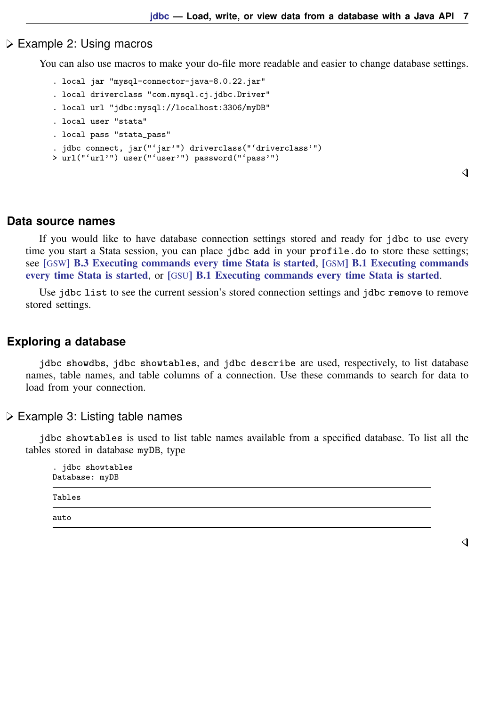#### Example 2: Using macros

You can also use macros to make your do-file more readable and easier to change database settings.

```
. local jar "mysql-connector-java-8.0.22.jar"
```
- . local driverclass "com.mysql.cj.jdbc.Driver"
- . local url "jdbc:mysql://localhost:3306/myDB"
- . local user "stata"
- . local pass "stata\_pass"

```
. jdbc connect, jar("'jar'") driverclass("'driverclass'")
```

```
> url("'url'") user("'user'") password("'pass'")
```
◁

### <span id="page-6-0"></span>**Data source names**

If you would like to have database connection settings stored and ready for jdbc to use every time you start a Stata session, you can place jdbc add in your profile.do to store these settings; see [GSW[\] B.3 Executing commands every time Stata is started](https://www.stata.com/manuals/gswb.pdf#gswB.3ExecutingcommandseverytimeStataisstarted), [GSM[\] B.1 Executing commands](https://www.stata.com/manuals/gsmb.pdf#gsmB.1ExecutingcommandseverytimeStataisstarted) [every time Stata is started](https://www.stata.com/manuals/gsmb.pdf#gsmB.1ExecutingcommandseverytimeStataisstarted), or [GSU[\] B.1 Executing commands every time Stata is started](https://www.stata.com/manuals/gsub.pdf#gsuB.1ExecutingcommandseverytimeStataisstarted).

<span id="page-6-1"></span>Use jdbc list to see the current session's stored connection settings and jdbc remove to remove stored settings.

#### **Exploring a database**

jdbc showdbs, jdbc showtables, and jdbc describe are used, respectively, to list database names, table names, and table columns of a connection. Use these commands to search for data to load from your connection.

#### $\triangleright$  Example 3: Listing table names

jdbc showtables is used to list table names available from a specified database. To list all the tables stored in database myDB, type

| . jdbc showtables<br>Database: myDB |  |
|-------------------------------------|--|
| Tables                              |  |
| auto                                |  |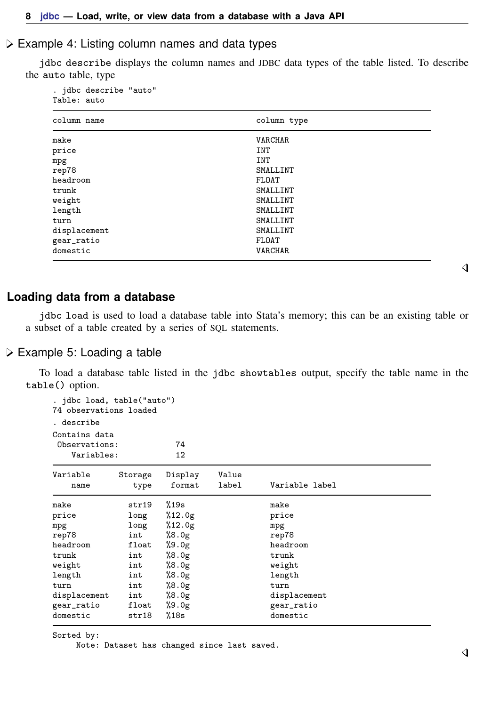#### Example 4: Listing column names and data types

jdbc describe displays the column names and JDBC data types of the table listed. To describe the auto table, type

. jdbc describe "auto" Table: auto

| column name  | column type    |  |
|--------------|----------------|--|
| make         | <b>VARCHAR</b> |  |
| price        | INT            |  |
| mpg          | INT            |  |
| rep78        | SMALLINT       |  |
| headroom     | FLOAT          |  |
| trunk        | SMALLINT       |  |
| weight       | SMALLINT       |  |
| length       | SMALLINT       |  |
| turn         | SMALLINT       |  |
| displacement | SMALLINT       |  |
| gear_ratio   | FLOAT          |  |
| domestic     | <b>VARCHAR</b> |  |
|              |                |  |

#### <span id="page-7-0"></span>**Loading data from a database**

jdbc load is used to load a database table into Stata's memory; this can be an existing table or a subset of a table created by a series of SQL statements.

#### Example 5: Loading a table

To load a database table listed in the jdbc showtables output, specify the table name in the table() option.

```
. jdbc load, table("auto")
74 observations loaded
. describe
Contains data
Observations: 74
   Variables: 12
Variable Storage Display Value
   name type format label Variable label
make str19 %19s make
price long %12.0g price
mpg long %12.0g mpg<br>
rep78 int %8.0g rep<sup>7</sup>
rep78 int %8.0g prep78 rep78 int %9.0g prep78 rep78
           headroom float %9.0g headroom
trunk int %8.0g trunk
weight int %8.0g weight
length int %8.0g length
turn int %8.0g turn<br>displacement int %8.0g disp
           int %8.0g displacement<br>float %9.0g displacement
gear_ratio float %9.0g gear_ratio
domestic
```
Sorted by:

Note: Dataset has changed since last saved.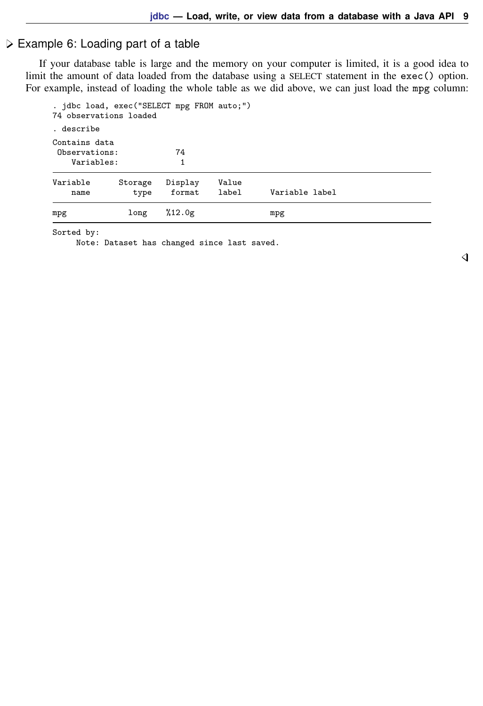# Example 6: Loading part of a table

If your database table is large and the memory on your computer is limited, it is a good idea to limit the amount of data loaded from the database using a SELECT statement in the exec() option. For example, instead of loading the whole table as we did above, we can just load the mpg column:

| mpg                                                                  | long            | %12.0g            |                | mpg            |  |
|----------------------------------------------------------------------|-----------------|-------------------|----------------|----------------|--|
| Variable<br>name                                                     | Storage<br>type | Display<br>format | Value<br>label | Variable label |  |
| Observations:<br>Variables:                                          |                 | 74<br>1           |                |                |  |
| . describe<br>Contains data                                          |                 |                   |                |                |  |
| . jdbc load, exec("SELECT mpg FROM auto;")<br>74 observations loaded |                 |                   |                |                |  |

Sorted by:

Note: Dataset has changed since last saved.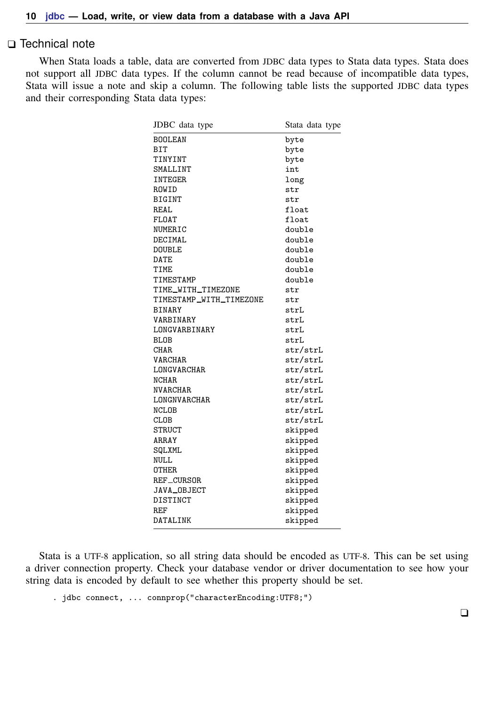### □ Technical note

When Stata loads a table, data are converted from JDBC data types to Stata data types. Stata does not support all JDBC data types. If the column cannot be read because of incompatible data types, Stata will issue a note and skip a column. The following table lists the supported JDBC data types and their corresponding Stata data types:

| JDBC data type          | Stata data type |
|-------------------------|-----------------|
| <b>BOOLEAN</b>          | byte            |
| BIT                     | byte            |
| TINYINT                 | byte            |
| SMALLINT                | int             |
| <b>INTEGER</b>          | long            |
| ROWID                   | str             |
| <b>BIGINT</b>           | str             |
| REAL                    | float           |
| <b>FLOAT</b>            | float           |
| NUMERIC                 | double          |
| DECIMAL                 | double          |
| <b>DOUBLE</b>           | double          |
| DATE                    | double          |
| TIME                    | double          |
| TIMESTAMP               | double          |
| TIME_WITH_TIMEZONE      | str             |
| TIMESTAMP_WITH_TIMEZONE | str             |
| <b>BINARY</b>           | strL            |
| VARBINARY               | strL            |
| LONGVARBINARY           | strL            |
| <b>BLOB</b>             | strL            |
| <b>CHAR</b>             | str/strL        |
| VARCHAR                 | str/strL        |
| LONGVARCHAR             | str/strL        |
| <b>NCHAR</b>            | str/strL        |
| NVARCHAR                | str/strL        |
| LONGNVARCHAR            | str/strL        |
| <b>NCLOB</b>            | str/strL        |
| CLOB                    | str/strL        |
| STRUCT                  | skipped         |
| ARRAY                   | skipped         |
| SQLXML                  | skipped         |
| NULL                    | skipped         |
| OTHER                   | skipped         |
| REF_CURSOR              | skipped         |
| JAVA_OBJECT             | skipped         |
| DISTINCT                | skipped         |
| REF                     | skipped         |
| DATALINK                | skipped         |

Stata is a UTF-8 application, so all string data should be encoded as UTF-8. This can be set using a driver connection property. Check your database vendor or driver documentation to see how your string data is encoded by default to see whether this property should be set.

. jdbc connect, ... connprop("characterEncoding:UTF8;")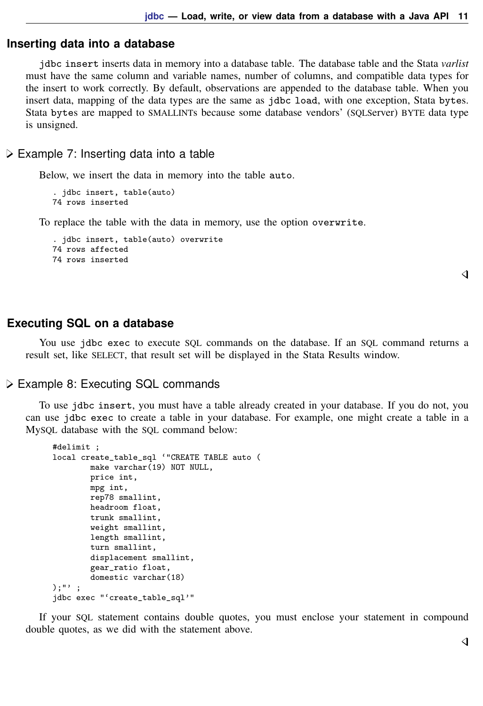## <span id="page-10-0"></span>**Inserting data into a database**

jdbc insert inserts data in memory into a database table. The database table and the Stata *varlist* must have the same column and variable names, number of columns, and compatible data types for the insert to work correctly. By default, observations are appended to the database table. When you insert data, mapping of the data types are the same as jdbc load, with one exception, Stata bytes. Stata bytes are mapped to SMALLINTs because some database vendors' (SQLServer) BYTE data type is unsigned.

#### $\triangleright$  Example 7: Inserting data into a table

Below, we insert the data in memory into the table auto.

```
. jdbc insert, table(auto)
74 rows inserted
```
To replace the table with the data in memory, use the option overwrite.

```
. jdbc insert, table(auto) overwrite
74 rows affected
74 rows inserted
```
#### <span id="page-10-1"></span>**Executing SQL on a database**

You use jdbc exec to execute SQL commands on the database. If an SQL command returns a result set, like SELECT, that result set will be displayed in the Stata Results window.

#### Example 8: Executing SQL commands

To use jdbc insert, you must have a table already created in your database. If you do not, you can use jdbc exec to create a table in your database. For example, one might create a table in a MySQL database with the SQL command below:

```
#delimit ;
local create_table_sql '"CREATE TABLE auto (
        make varchar(19) NOT NULL,
        price int,
        mpg int,
        rep78 smallint,
        headroom float,
        trunk smallint,
        weight smallint,
        length smallint,
        turn smallint,
        displacement smallint,
        gear_ratio float,
        domestic varchar(18)
);"' ;
jdbc exec "'create_table_sql'"
```
If your SQL statement contains double quotes, you must enclose your statement in compound double quotes, as we did with the statement above.